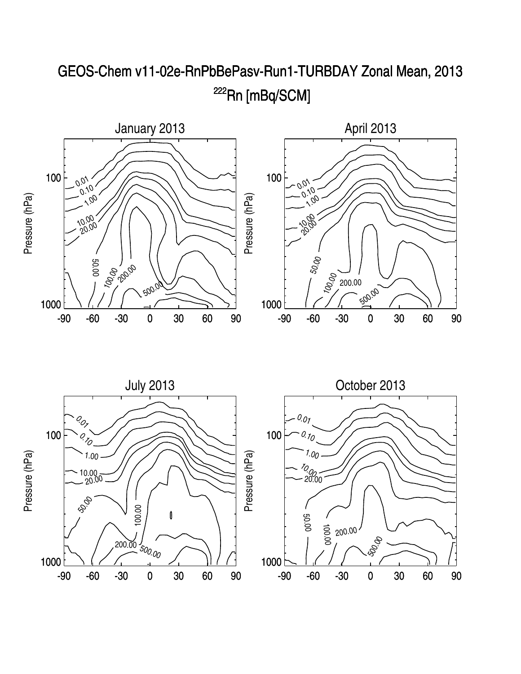

## GEOS-Chem v11-02e-RnPbBePasv-Run1-TURBDAY Zonal Mean, 2013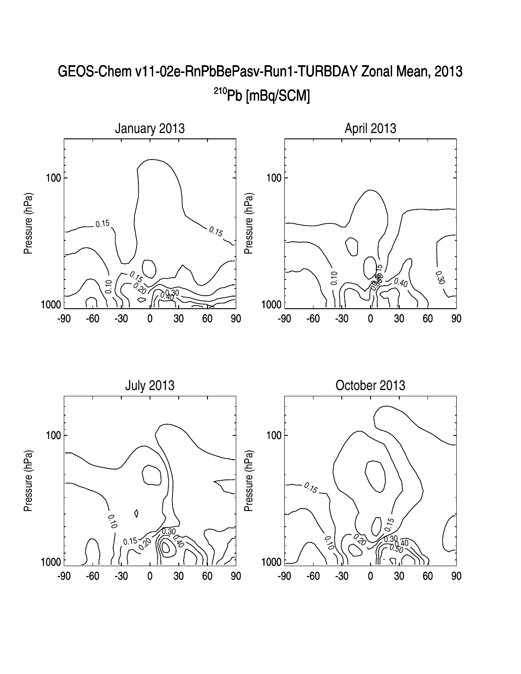

## GEOS-Chem v11-02e-RnPbBePasv-Run1-TURBDAY Zonal Mean, 2013 <sup>210</sup>Pb [mBq/SCM]